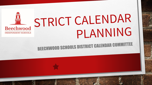### STRICT CALENDAR Beechwood PLANNING **INDEPENDENT SCHOOLS**

**BEECHWOOD SCHOOLS DISTRICT CALENDAR COMMITTEE**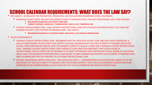### SCHOOL CALENDAR REQUIREMENTS: WHAT DOES THE LAW SAY?

• KRS 158.070 – ESTABLISHES THE PARAMETERS, MINIMUMS, AND REGULATIONS REGARDING SCHOOL CALENDARS

- MINIMUM SCHOOL TERM- 185 DAYS INCLUDING STUDENT ATTENDANCE DAYS, TEACHER PROFESSIONAL DAYS, AND HOLIDAYS.
	- **BEECHWOOD SCHEDULES 187 SCHOOL TERM DAYS**
	- **CURRENT HOLIDAYS: LABOR DAY / THANKSGIVING / MLK JR. DAY / MEMORIAL DAY**
- STUDENT INSTRUCTIONAL YEAR 1,062 HOURS OF INSTRUCTIONAL TIME FOR STUDENTS DELIVERED ON NOT LESS THAN ONE HUNDRED SEVENTY (170) STUDENT ATTENDANCE DAYS - KRS 158.070
	- **BEECHWOOD SCHEDULES 175 INSTRUCTIONAL DAYS WITH 1,132 HOURS OF INSTRUCTION**
- RECENT AMENDMENTS:
	- *VARIABLE STUDENT INSTRUCTIONAL YEAR*  BEGINNING WITH THE 2018-2019 SCHOOL YEAR, AND EACH YEAR THEREAFTER, A LOCAL SCHOOL BOARD OF EDUCATION THAT ADOPTS A SCHOOL CALENDAR WITH THE FIRST STUDENT ATTENDANCE DAY IN THE SCHOOL TERM STARTING NO EARLIER THAN THE MONDAY CLOSEST TO AUGUST 26 MAY USE A VARIABLE STUDENT INSTRUCTIONAL YEAR. "VARIABLE STUDENT INSTRUCTIONAL YEAR" MEANS AT LEAST ONE THOUSAND SIXTY-TWO (1,062) HOURS OF INSTRUCTIONAL TIME DELIVERED ON THE NUMBER OF STUDENT ATTENDANCE DAYS ADOPTED BY A LOCAL BOARD OF EDUCATION WHICH SHALL BE CONSIDERED PROPORTIONALLY EQUIVALENT TO ONE HUNDRED AND SEVENTY (170) STUDENT ATTENDANCE DAYS AND CALENDAR DAYS FOR THE PURPOSES OF A STUDENT INSTRUCTIONAL YEAR.
	- NTI(NON-TRADITIONAL INSTRUCTION) DAYS *KRS 158.070 SECTION 9: ….COMMISSIONER OF EDUCATION MAY GRANT UP TO THE EQUIVALENT OF TEN (10) STUDENT ATTENDANCE DAYS FOR SCHOOL DISTRICTS THAT HAVE AN ALTERNATIVE INSTRUCTION PLAN APPROVED BY THE COMMISSIONER OF EDUCATION FOR THE USE OF ALTERNATIVE METHODS OF INSTRUCTION.*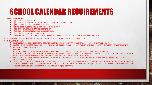### SCHOOL CALENDAR REQUIREMENTS

#### • **CALENDAR COMMITTEE**:

- (1) SCHOOL DISTRICT PRINCIPAL
- (1) SCHOOL DISTRICT OFFICE ADMINISTRATOR OTHER THAN THE SUPERINTENDENT
- (1) MEMBER OF THE LOCAL BOARD OF EDUCATION
- (2) PARENTS OF STUDENTS ATTENDING A SCHOOL IN THE DISTRICT
- (1) SCHOOL DISTRICT ELEMENTARY SCHOOL TEACHER
- (1) SCHOOL DISTRICT MIDDLE OR HIGH SCHOOL TEACHER
- (2) SCHOOL DISTRICT CLASSIFIED EMPLOYEES
- (2) COMMUNITY MEMBERS FROM THE LOCAL CHAMBER OF COMMERCE, BUSINESS COMMUNITY, OR TOURISM COMMISSION
- THE LOCAL BOARD OF EDUCATION SHALL ADOPT A SCHOOL CALENDAR ON OR BEFORE MAY 15 OF EACH YEAR.

#### • **THE CALENDAR SHALL**:

- 1 OPENING DAY SHALL BE SCHEDULED TO OCCUR PRIOR TO THE FIRST STUDENT ATTENDANCE DAY OF THE STUDENT INSTRUCTIONAL YEAR.
- 1 CLOSING DAY SHALL BE SCHEDULED TO OCCUR FOLLOWING THE COMPLETION OF THE LAST STUDENT ATTENDANCE DAY OF THE STUDENT INSTRUCTIONAL YEAR.
- 4 PROFESSIONAL DAYS SCHEDULED
- 4 HOLIDAYS
- ALL SCHOOLS SHALL BE CLOSED ON THE THIRD MONDAY OF JANUARY IN OBSERVANCE OF THE BIRTHDAY OF MARTIN LUTHER KING, JR.
- IF ANY SCHOOL IN A DISTRICT IS USED AS A POLLING PLACE, THE SCHOOL DISTRICT SHALL BE CLOSED ON THE DAY OF THE ELECTION, AND THOSE DAYS MAY BE USED FOR PROFESSIONAL DEVELOPMENT ACTIVITIES, PROFESSIONAL MEETINGS, OR PARENT-TEACHER CONFERENCES.
- A DISTRICT MAY BE OPEN ON THE DAY OF AN ELECTION IF NO SCHOOL IN THE DISTRICT IS USED AS A POLLING PLACE. HOWEVER SCHOOLS MUST BE CLOSED ON A PRESIDENTIAL ELECTION DAY.
- LOCAL SCHOOL DISTRICTS SHALL PLAN, IN ACCORDANCE WITH THIS SUBSECTION, FOR THE MAKE-UP OF INSTRUCTIONAL TIME MISSED DUE TO EMERGENCY. IN ADDITION TO THE MINIMUM 1,062 HOUR STUDENT INSTRUCTIONAL YEAR, THE SCHOOL CALENDAR SHALL INCLUDE DAYS EQUAL TO THE GREATEST NUMBER OF DAYS MISSED SYSTEM-WIDE IN THE LOCAL SCHOOL DISTRICT OVER THE PRECEDING FIVE (5) SCHOOL YEARS.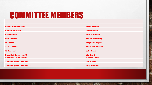# COMMITTEE MEMBERS

 $\mathbb{A}$ 

湯

**DESCRIPTION** 

| <b>District Administrator</b>                                    | <b>Brian Vanover</b>                     |
|------------------------------------------------------------------|------------------------------------------|
| <b>Building Principal</b>                                        | <b>Justin Kaiser</b>                     |
| <b>BOE Member</b>                                                | <b>Norine Sullivan</b>                   |
| <b>Elem. Parent</b>                                              | <b>Shane Armstrong</b>                   |
| <b>HS Parent</b>                                                 | <b>Stephanie Layton</b>                  |
| <b>Elem. Teacher</b>                                             | <b>Annie Schleusner</b>                  |
| <b>HS Teacher</b>                                                | <b>Julie Rash</b>                        |
|                                                                  |                                          |
| <b>Classified Employee (1)</b><br><b>Classified Employee (2)</b> | <b>Jim Swift</b><br><b>Melissa Burns</b> |
| <b>Community/Bus. Member (1)</b>                                 | <b>Joe Hayes</b>                         |
| <b>Community/Bus. Member (2)</b>                                 | <b>Amy Redfield</b>                      |